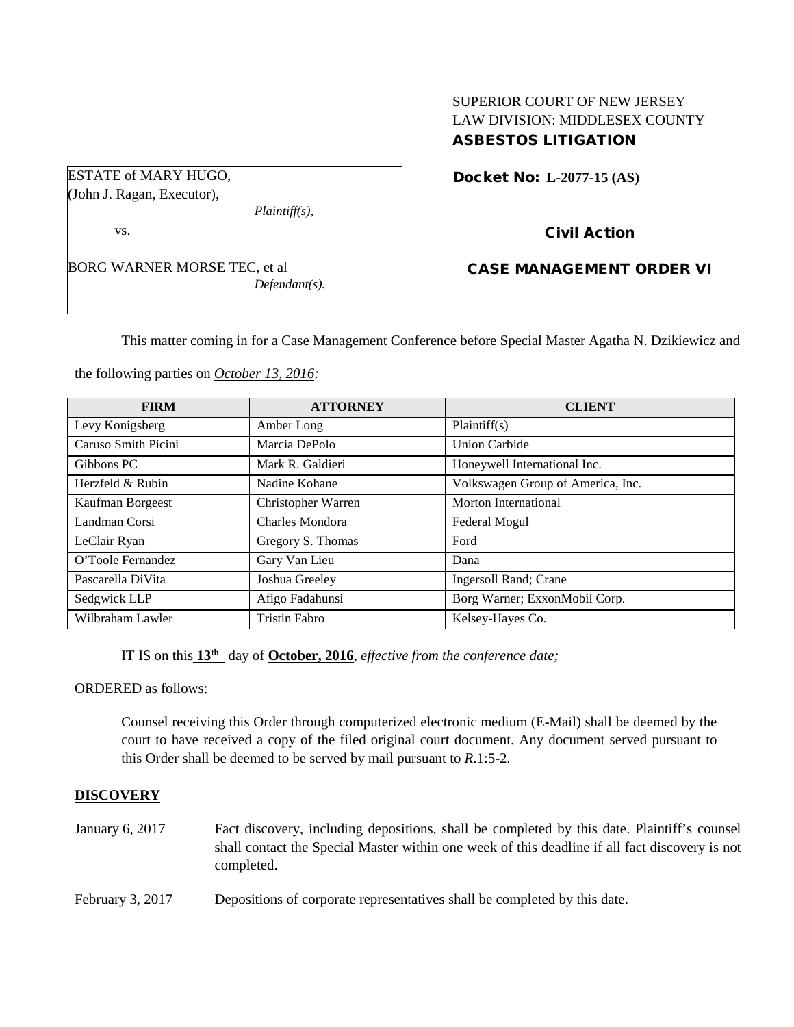## SUPERIOR COURT OF NEW JERSEY LAW DIVISION: MIDDLESEX COUNTY ASBESTOS LITIGATION

ESTATE of MARY HUGO, (John J. Ragan, Executor),

vs.

BORG WARNER MORSE TEC, et al *Defendant(s).*

*Plaintiff(s),*

Docket No: **L-2077-15 (AS)** 

# Civil Action

# CASE MANAGEMENT ORDER VI

This matter coming in for a Case Management Conference before Special Master Agatha N. Dzikiewicz and

the following parties on *October 13, 2016:*

| <b>FIRM</b>         | <b>ATTORNEY</b>    | <b>CLIENT</b>                     |
|---------------------|--------------------|-----------------------------------|
| Levy Konigsberg     | Amber Long         | Plaintiff(s)                      |
| Caruso Smith Picini | Marcia DePolo      | Union Carbide                     |
| Gibbons PC          | Mark R. Galdieri   | Honeywell International Inc.      |
| Herzfeld & Rubin    | Nadine Kohane      | Volkswagen Group of America, Inc. |
| Kaufman Borgeest    | Christopher Warren | Morton International              |
| Landman Corsi       | Charles Mondora    | Federal Mogul                     |
| LeClair Ryan        | Gregory S. Thomas  | Ford                              |
| O'Toole Fernandez   | Gary Van Lieu      | Dana                              |
| Pascarella DiVita   | Joshua Greeley     | Ingersoll Rand; Crane             |
| Sedgwick LLP        | Afigo Fadahunsi    | Borg Warner; ExxonMobil Corp.     |
| Wilbraham Lawler    | Tristin Fabro      | Kelsey-Hayes Co.                  |

IT IS on this **13th** day of **October, 2016**, *effective from the conference date;*

ORDERED as follows:

Counsel receiving this Order through computerized electronic medium (E-Mail) shall be deemed by the court to have received a copy of the filed original court document. Any document served pursuant to this Order shall be deemed to be served by mail pursuant to *R*.1:5-2.

# **DISCOVERY**

- January 6, 2017 Fact discovery, including depositions, shall be completed by this date. Plaintiff's counsel shall contact the Special Master within one week of this deadline if all fact discovery is not completed.
- February 3, 2017 Depositions of corporate representatives shall be completed by this date.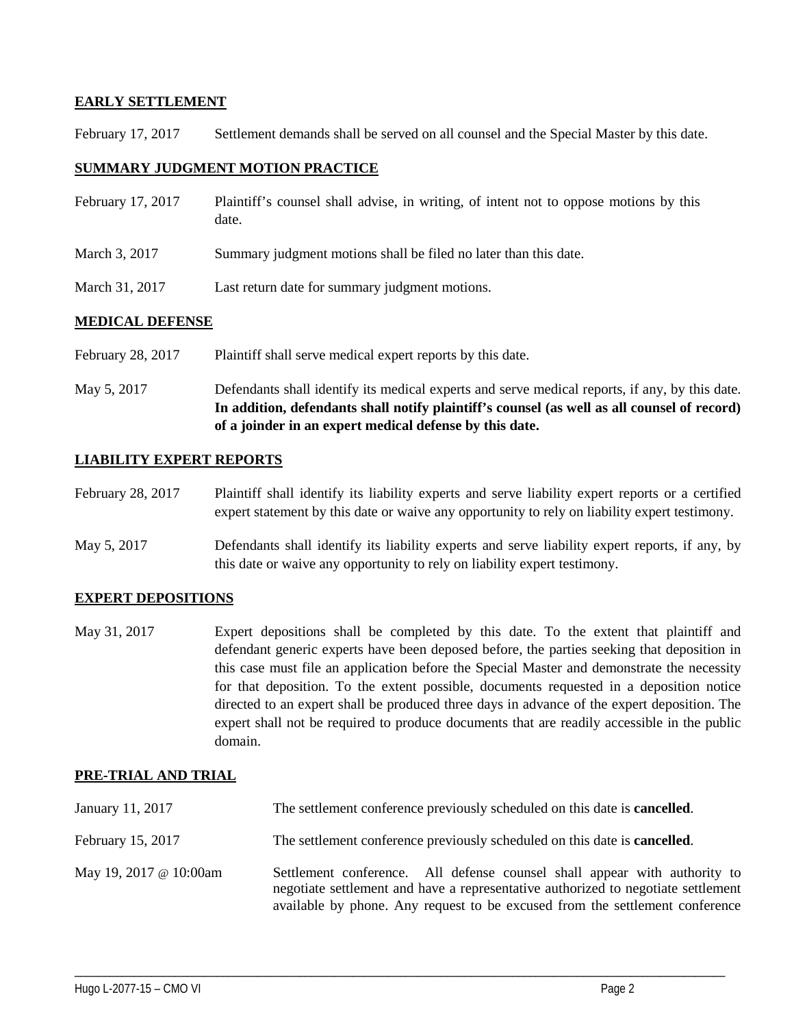#### **EARLY SETTLEMENT**

February 17, 2017 Settlement demands shall be served on all counsel and the Special Master by this date.

#### **SUMMARY JUDGMENT MOTION PRACTICE**

| February 17, 2017 | Plaintiff's counsel shall advise, in writing, of intent not to oppose motions by this<br>date. |
|-------------------|------------------------------------------------------------------------------------------------|
| March 3, 2017     | Summary judgment motions shall be filed no later than this date.                               |
| March 31, 2017    | Last return date for summary judgment motions.                                                 |

#### **MEDICAL DEFENSE**

February 28, 2017 Plaintiff shall serve medical expert reports by this date.

May 5, 2017 Defendants shall identify its medical experts and serve medical reports, if any, by this date. **In addition, defendants shall notify plaintiff's counsel (as well as all counsel of record) of a joinder in an expert medical defense by this date.**

## **LIABILITY EXPERT REPORTS**

February 28, 2017 Plaintiff shall identify its liability experts and serve liability expert reports or a certified expert statement by this date or waive any opportunity to rely on liability expert testimony.

May 5, 2017 Defendants shall identify its liability experts and serve liability expert reports, if any, by this date or waive any opportunity to rely on liability expert testimony.

## **EXPERT DEPOSITIONS**

May 31, 2017 Expert depositions shall be completed by this date. To the extent that plaintiff and defendant generic experts have been deposed before, the parties seeking that deposition in this case must file an application before the Special Master and demonstrate the necessity for that deposition. To the extent possible, documents requested in a deposition notice directed to an expert shall be produced three days in advance of the expert deposition. The expert shall not be required to produce documents that are readily accessible in the public domain.

## **PRE-TRIAL AND TRIAL**

| January 11, 2017       | The settlement conference previously scheduled on this date is <b>cancelled</b> .                                                                                                                                                              |  |
|------------------------|------------------------------------------------------------------------------------------------------------------------------------------------------------------------------------------------------------------------------------------------|--|
| February 15, 2017      | The settlement conference previously scheduled on this date is <b>cancelled</b> .                                                                                                                                                              |  |
| May 19, 2017 @ 10:00am | Settlement conference. All defense counsel shall appear with authority to<br>negotiate settlement and have a representative authorized to negotiate settlement<br>available by phone. Any request to be excused from the settlement conference |  |

\_\_\_\_\_\_\_\_\_\_\_\_\_\_\_\_\_\_\_\_\_\_\_\_\_\_\_\_\_\_\_\_\_\_\_\_\_\_\_\_\_\_\_\_\_\_\_\_\_\_\_\_\_\_\_\_\_\_\_\_\_\_\_\_\_\_\_\_\_\_\_\_\_\_\_\_\_\_\_\_\_\_\_\_\_\_\_\_\_\_\_\_\_\_\_\_\_\_\_\_\_\_\_\_\_\_\_\_\_\_